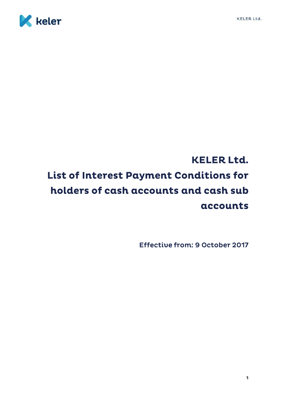



# **KELER Ltd.** List of Interest Payment Conditions for holders of cash accounts and cash sub accounts

**Effective from: 9 October 2017**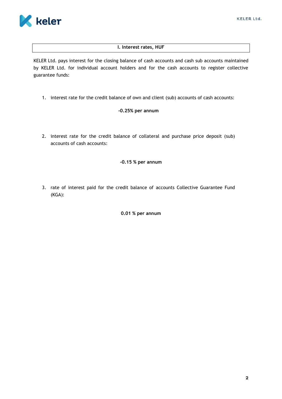

# **I. Interest rates, HUF**

KELER Ltd. pays interest for the closing balance of cash accounts and cash sub accounts maintained by KELER Ltd. for individual account holders and for the cash accounts to register collective guarantee funds:

1. interest rate for the credit balance of own and client (sub) accounts of cash accounts:

# **-0.25% per annum**

2. interest rate for the credit balance of collateral and purchase price deposit (sub) accounts of cash accounts:

#### **-0.15 % per annum**

3. rate of interest paid for the credit balance of accounts Collective Guarantee Fund (KGA):

### **0.01 % per annum**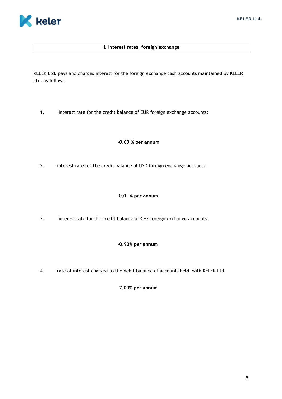#### **II. Interest rates, foreign exchange**

KELER Ltd. pays and charges interest for the foreign exchange cash accounts maintained by KELER Ltd. as follows:

1. interest rate for the credit balance of EUR foreign exchange accounts:

### **-0.60 % per annum**

2. interest rate for the credit balance of USD foreign exchange accounts:

# **0.0 % per annum**

3. interest rate for the credit balance of CHF foreign exchange accounts:

#### **-0.90% per annum**

4. rate of interest charged to the debit balance of accounts held with KELER Ltd:

**7.00% per annum**